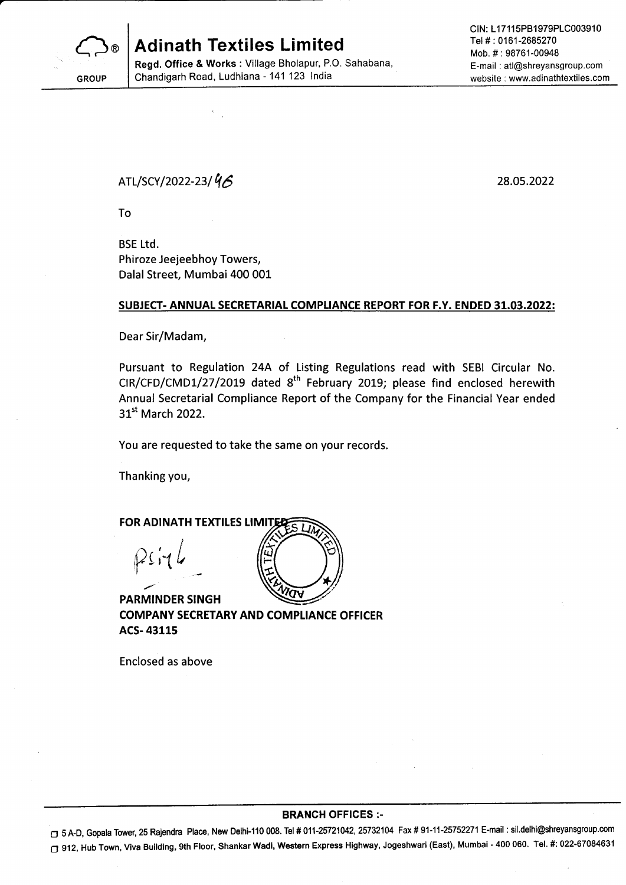

**Adinath Textiles Limited** 

Regd. Office & Works : Village Bholapur, P.O. Sahabana, Chandigarh Road, Ludhiana - 141 123 lndia

CIN: L17115PB1979PLC003910 Tel # : 0161-2685270 Mob. #:98761-00948 E-mail : atl@shreyansgroup.com website : www.adinathtextiles.com

ATL/SCY/2022-23/ $46$ 

28.0s.2022

To

BSE Ltd. Phiroze Jeejeebhoy Towers, Dalal Street, Mumbai 400 001

### SUBJECT- ANNUAL SECRETARIAL COMPLIANCE REPORT FOR F.Y. ENDED 31.03.2022:

Dear Sir/Madam,

Pursuant to Regulation 24A of Listing Regulations read with SEBI Circular No.  $CIR/CFD/CMD1/27/2019$  dated  $8<sup>th</sup>$  February 2019; please find enclosed herewith Annual Secretarial Compliance Report of the Company for the Financial Year ended 31<sup>st</sup> March 2022.

You are requested to take the same on your records.

Thanking you,

FOR ADINATH TEXTILES LIMITED I  $P$ siy $l$ find the contract of

PARMINDER SINGH COMPANY SECRETARY AND COMPLIANCE OFFICER ACS- 43115

Enclosed as above

#### BRANCH OFFICES :-

O 5 A-D, Gopala Tower, 25 Rajendra Place, New Delhi-110 008. Tel # 011-25721042, 25732104 Fax # 91-11-25752271 E-mail : sil.delhi@shreyansgroup.com O g12, Hub Town, Viva Building, 9th Floor, Shankar Wadi, Western Express Highway, Jogeshwari (East), Mumbai '400 060. Tel. #: 022-6708463'l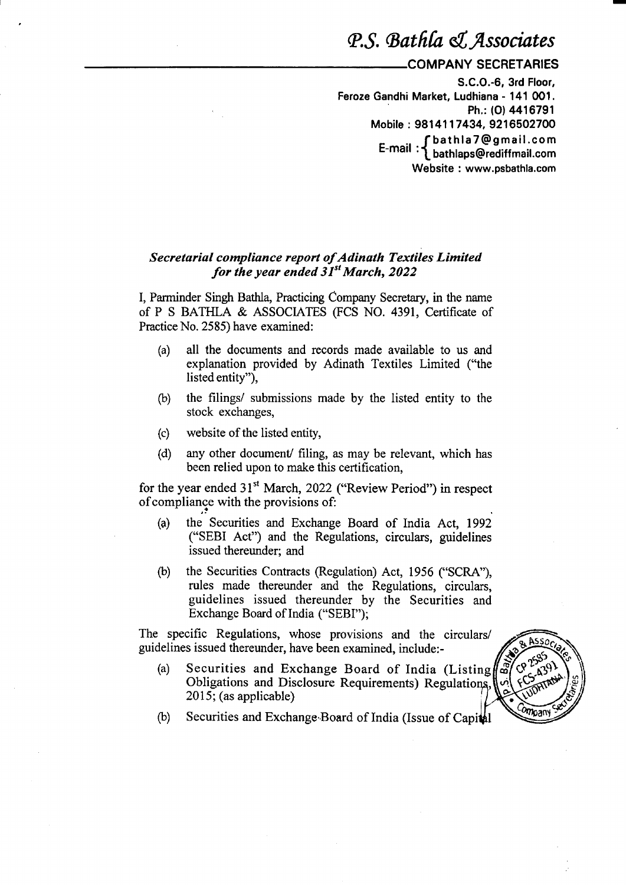## P.S. Bathla & Associates

### COMPANY SECRETARIES

S.C.O.-6, 3rd Floor, Feroze Gandhi Market, Ludhiana - 141 0O1. Ph,: (O) 4416791 Mobile: 9814117434, 9216502700 <sup>f</sup>bathlaT@gmail.com E-mall : f bathlaps@rediffmail.com Website : www.psbathla.com

### Secretarial compliance report of Adinath Textiles Limited for the year ended  $31^{st}$  March, 2022

I, Parminder Singh Bathla, Practicing Company Secretary, in the name of P S BATHLA & ASSOCIATES (FCS NO. 4391, Certificate of Practice No. 2585) have examined:

- (a) all the documents and records made available to us and explanation provided by Adinath Textiles Limited ("the listed entity"),
- (b) the filings/ submissions made by the listed entity to the stock exchanges,
- (c) website of the listed entity,
- (d) any other document/ filing, as may be relevant, which has been relied upon to make this certification,

for the year ended 31<sup>st</sup> March, 2022 ("Review Period") in respect ofcompliance with the provisions of:

- (a) the Securities and Exchange Board of India Act, <sup>1992</sup> ("SEBI Act") and the Regulations, circulars, guidelines issued thereunder; and
- (b) the Securities Contracts (Regulation) Act, 1956 ("SCRA"), rules made thereunder and the Regulations, circulars, guidelines issued thereunder by the Securities and Exchange Board of India ("SEBI");

The specific Regulations, whose provisions and the circulars/ guidelines issued thereunder, have been examined, include:-

(a) Securities and Exchange Board of India (Listing Obligations and Disclosure Requirements) Regulations,  $\left|\phi\right|$  { $\sum_{n=1}^{\infty}$ 2015; (as applicable)



(b) Securities and Exchange Board of India (Issue of Capital  $\sqrt{m_{\text{Fall}}^2}$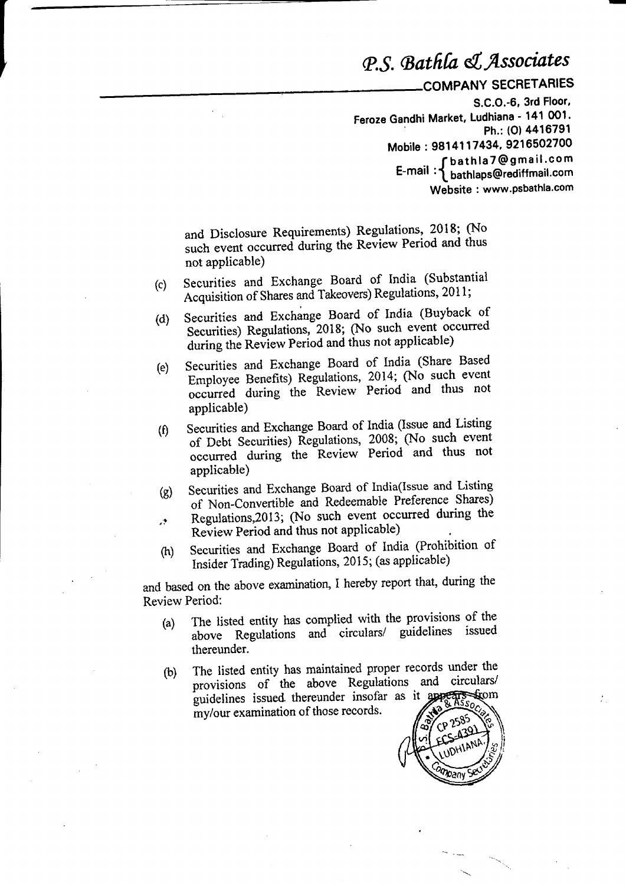# P.S. Bathla & Associates

COMPANY SECRETARIES

S.C.O.-6, 3rd Floor, Feroze Gandhi Market, Ludhiana - 141 001. Ph.: (0) 4416791 Mobile: 9814117434, 9216502700 fbathla7@gmail.com  $E$ -mail: bathlaps@rediffmail.com Website: www.psbathla.com

and Disclosure Requirements) Regulations, 2018; (No such event occurred during the Review Period and thus not applicable)

- Securities and Exchange Board of India (Substantial  $(c)$ Acquisition of Shares and Takeovers) Regulations, 2011;
- Securities and Exchange Board of India (Buyback of  $(d)$ Securities) Regulations, 2018; (No such event occurred during the Review Period and thus not applicable)
- Securities and Exchange Board of India (Share Based  $(e)$ Employee Benefits) Regulations, 2014; (No such event occurred during the Review Period and thus not applicable)
- Securities and Exchange Board of India (Issue and Listing  $(f)$ of Debt Securities) Regulations, 2008; (No such event occurred during the Review Period and thus not applicable)
- Securities and Exchange Board of India(Issue and Listing  $\left( \mathbf{g} \right)$ of Non-Convertible and Redeemable Preference Shares) Regulations, 2013; (No such event occurred during the  $\mathcal{L}^{\bullet}$
- Review Period and thus not applicable)
- Securities and Exchange Board of India (Prohibition of  $(h)$ Insider Trading) Regulations, 2015; (as applicable)

and based on the above examination, I hereby report that, during the Review Period:

- The listed entity has complied with the provisions of the  $(a)$ above Regulations and circulars/ guidelines issued thereunder.
- The listed entity has maintained proper records under the  $(b)$ provisions of the above Regulations and circulars/ guidelines issued thereunder insofar as it apport strom my/our examination of those records.